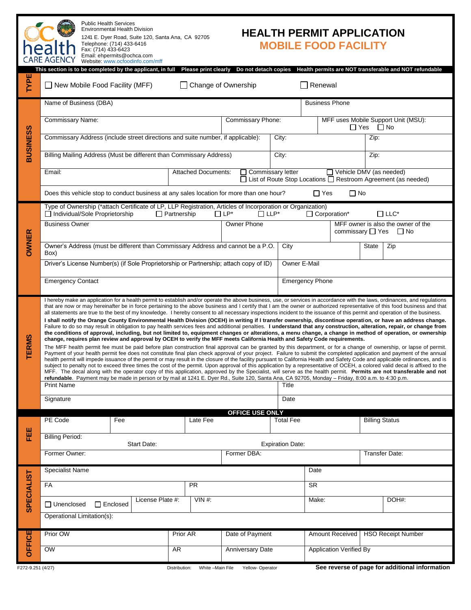|                   | <b>Public Health Services</b><br><b>Environmental Health Division</b><br><b>HEALTH PERMIT APPLICATION</b><br>1241 E. Dyer Road, Suite 120, Santa Ana, CA 92705<br>Telephone: (714) 433-6416<br><b>MOBILE FOOD FACILITY</b><br>heal<br>Fax: (714) 433-6423<br>Email: ehpermits@ochca.com<br><b>CARE AGENCY</b><br>Website: www.ocfoodinfo.com/mff<br>This section is to be completed by the applicant, in full Please print clearly<br>Do not detach copies<br>Health permits are NOT transferable and NOT refundable                                                                                                                                                                                                                                                                                                                                                                                                                                                                                                                                                                                                                                                                                                                                                                                                                                                                                                                                                                                                                                                                                                                                                                                                                                                                                                                                                                                                                                                                                                                                                                                                                                                                                                                               |      |                                            |                       |                          |                                |                      |                                                                                            |                                                |  |
|-------------------|----------------------------------------------------------------------------------------------------------------------------------------------------------------------------------------------------------------------------------------------------------------------------------------------------------------------------------------------------------------------------------------------------------------------------------------------------------------------------------------------------------------------------------------------------------------------------------------------------------------------------------------------------------------------------------------------------------------------------------------------------------------------------------------------------------------------------------------------------------------------------------------------------------------------------------------------------------------------------------------------------------------------------------------------------------------------------------------------------------------------------------------------------------------------------------------------------------------------------------------------------------------------------------------------------------------------------------------------------------------------------------------------------------------------------------------------------------------------------------------------------------------------------------------------------------------------------------------------------------------------------------------------------------------------------------------------------------------------------------------------------------------------------------------------------------------------------------------------------------------------------------------------------------------------------------------------------------------------------------------------------------------------------------------------------------------------------------------------------------------------------------------------------------------------------------------------------------------------------------------------------|------|--------------------------------------------|-----------------------|--------------------------|--------------------------------|----------------------|--------------------------------------------------------------------------------------------|------------------------------------------------|--|
| <b>TYPE</b>       | $\Box$ New Mobile Food Facility (MFF)<br>Change of Ownership<br>Renewal                                                                                                                                                                                                                                                                                                                                                                                                                                                                                                                                                                                                                                                                                                                                                                                                                                                                                                                                                                                                                                                                                                                                                                                                                                                                                                                                                                                                                                                                                                                                                                                                                                                                                                                                                                                                                                                                                                                                                                                                                                                                                                                                                                            |      |                                            |                       |                          |                                |                      |                                                                                            |                                                |  |
| <b>BUSINESS</b>   | Name of Business (DBA)                                                                                                                                                                                                                                                                                                                                                                                                                                                                                                                                                                                                                                                                                                                                                                                                                                                                                                                                                                                                                                                                                                                                                                                                                                                                                                                                                                                                                                                                                                                                                                                                                                                                                                                                                                                                                                                                                                                                                                                                                                                                                                                                                                                                                             |      |                                            |                       |                          | <b>Business Phone</b>          |                      |                                                                                            |                                                |  |
|                   | <b>Commissary Name:</b>                                                                                                                                                                                                                                                                                                                                                                                                                                                                                                                                                                                                                                                                                                                                                                                                                                                                                                                                                                                                                                                                                                                                                                                                                                                                                                                                                                                                                                                                                                                                                                                                                                                                                                                                                                                                                                                                                                                                                                                                                                                                                                                                                                                                                            |      |                                            | Commissary Phone:     |                          |                                | $\Box$ Yes $\Box$ No | MFF uses Mobile Support Unit (MSU):                                                        |                                                |  |
|                   | Commissary Address (include street directions and suite number, if applicable):                                                                                                                                                                                                                                                                                                                                                                                                                                                                                                                                                                                                                                                                                                                                                                                                                                                                                                                                                                                                                                                                                                                                                                                                                                                                                                                                                                                                                                                                                                                                                                                                                                                                                                                                                                                                                                                                                                                                                                                                                                                                                                                                                                    |      |                                            | City:                 |                          |                                |                      | Zip:                                                                                       |                                                |  |
|                   | Billing Mailing Address (Must be different than Commissary Address)                                                                                                                                                                                                                                                                                                                                                                                                                                                                                                                                                                                                                                                                                                                                                                                                                                                                                                                                                                                                                                                                                                                                                                                                                                                                                                                                                                                                                                                                                                                                                                                                                                                                                                                                                                                                                                                                                                                                                                                                                                                                                                                                                                                |      | City:                                      |                       |                          | Zip:                           |                      |                                                                                            |                                                |  |
|                   | Email:                                                                                                                                                                                                                                                                                                                                                                                                                                                                                                                                                                                                                                                                                                                                                                                                                                                                                                                                                                                                                                                                                                                                                                                                                                                                                                                                                                                                                                                                                                                                                                                                                                                                                                                                                                                                                                                                                                                                                                                                                                                                                                                                                                                                                                             |      | <b>Attached Documents:</b>                 |                       | $\Box$ Commissary letter |                                |                      | Vehicle DMV (as needed)<br>□ List of Route Stop Locations □ Restroom Agreement (as needed) |                                                |  |
|                   | Does this vehicle stop to conduct business at any sales location for more than one hour?<br>$\Box$ Yes<br>$\Box$ No                                                                                                                                                                                                                                                                                                                                                                                                                                                                                                                                                                                                                                                                                                                                                                                                                                                                                                                                                                                                                                                                                                                                                                                                                                                                                                                                                                                                                                                                                                                                                                                                                                                                                                                                                                                                                                                                                                                                                                                                                                                                                                                                |      |                                            |                       |                          |                                |                      |                                                                                            |                                                |  |
| <b>OWNER</b>      | Type of Ownership (*attach Certificate of LP, LLP Registration, Articles of Incorporation or Organization)<br>□ Individual/Sole Proprietorship<br>$\Box$ Partnership<br>$\Box$ LP*<br>$\Box$ LLP*<br>Corporation*<br>$\Box$ LLC*                                                                                                                                                                                                                                                                                                                                                                                                                                                                                                                                                                                                                                                                                                                                                                                                                                                                                                                                                                                                                                                                                                                                                                                                                                                                                                                                                                                                                                                                                                                                                                                                                                                                                                                                                                                                                                                                                                                                                                                                                   |      |                                            |                       |                          |                                |                      |                                                                                            |                                                |  |
|                   | <b>Business Owner</b>                                                                                                                                                                                                                                                                                                                                                                                                                                                                                                                                                                                                                                                                                                                                                                                                                                                                                                                                                                                                                                                                                                                                                                                                                                                                                                                                                                                                                                                                                                                                                                                                                                                                                                                                                                                                                                                                                                                                                                                                                                                                                                                                                                                                                              |      |                                            | Owner Phone           |                          |                                |                      | MFF owner is also the owner of the<br>commissary $\Box$ Yes $\Box$ No                      |                                                |  |
|                   | Owner's Address (must be different than Commissary Address and cannot be a P.O.<br>Box)                                                                                                                                                                                                                                                                                                                                                                                                                                                                                                                                                                                                                                                                                                                                                                                                                                                                                                                                                                                                                                                                                                                                                                                                                                                                                                                                                                                                                                                                                                                                                                                                                                                                                                                                                                                                                                                                                                                                                                                                                                                                                                                                                            |      | City                                       |                       |                          | <b>State</b>                   | Zip                  |                                                                                            |                                                |  |
|                   | Driver's License Number(s) (if Sole Proprietorship or Partnership; attach copy of ID)                                                                                                                                                                                                                                                                                                                                                                                                                                                                                                                                                                                                                                                                                                                                                                                                                                                                                                                                                                                                                                                                                                                                                                                                                                                                                                                                                                                                                                                                                                                                                                                                                                                                                                                                                                                                                                                                                                                                                                                                                                                                                                                                                              |      | Owner E-Mail                               |                       |                          |                                |                      |                                                                                            |                                                |  |
|                   | <b>Emergency Contact</b>                                                                                                                                                                                                                                                                                                                                                                                                                                                                                                                                                                                                                                                                                                                                                                                                                                                                                                                                                                                                                                                                                                                                                                                                                                                                                                                                                                                                                                                                                                                                                                                                                                                                                                                                                                                                                                                                                                                                                                                                                                                                                                                                                                                                                           |      | <b>Emergency Phone</b>                     |                       |                          |                                |                      |                                                                                            |                                                |  |
| <b>TERMS</b>      | I hereby make an application for a health permit to establish and/or operate the above business, use, or services in accordance with the laws, ordinances, and regulations<br>that are now or may hereinafter be in force pertaining to the above business and I certify that I am the owner or authorized representative of this food business and that<br>all statements are true to the best of my knowledge. I hereby consent to all necessary inspections incident to the issuance of this permit and operation of the business.<br>I shall notify the Orange County Environmental Health Division (OCEH) in writing if I transfer ownership, discontinue operation, or have an address change.<br>Failure to do so may result in obligation to pay health services fees and additional penalties. I understand that any construction, alteration, repair, or change from<br>the conditions of approval, including, but not limited to, equipment changes or alterations, a menu change, a change in method of operation, or ownership<br>change, requires plan review and approval by OCEH to verify the MFF meets California Health and Safety Code requirements.<br>The MFF health permit fee must be paid before plan construction final approval can be granted by this department, or for a change of ownership, or lapse of permit.<br>Payment of your health permit fee does not constitute final plan check approval of your project. Failure to submit the completed application and payment of the annual<br>health permit will impede issuance of the permit or may result in the closure of the facility pursuant to California Health and Safety Code and applicable ordinances, and is<br>subject to penalty not to exceed three times the cost of the permit. Upon approval of this application by a representative of OCEH, a colored valid decal is affixed to the<br>MFF. The decal along with the operator copy of this application, approved by the Specialist, will serve as the health permit. Permits are not transferable and not<br>refundable. Payment may be made in person or by mail at 1241 E. Dyer Rd., Suite 120, Santa Ana, CA 92705, Monday - Friday, 8:00 a.m. to 4:30 p.m.<br><b>Print Name</b><br>Title |      |                                            |                       |                          |                                |                      |                                                                                            |                                                |  |
|                   | Signature                                                                                                                                                                                                                                                                                                                                                                                                                                                                                                                                                                                                                                                                                                                                                                                                                                                                                                                                                                                                                                                                                                                                                                                                                                                                                                                                                                                                                                                                                                                                                                                                                                                                                                                                                                                                                                                                                                                                                                                                                                                                                                                                                                                                                                          | Date |                                            |                       |                          |                                |                      |                                                                                            |                                                |  |
|                   | PE Code                                                                                                                                                                                                                                                                                                                                                                                                                                                                                                                                                                                                                                                                                                                                                                                                                                                                                                                                                                                                                                                                                                                                                                                                                                                                                                                                                                                                                                                                                                                                                                                                                                                                                                                                                                                                                                                                                                                                                                                                                                                                                                                                                                                                                                            |      | <b>OFFICE USE ONLY</b><br><b>Total Fee</b> |                       |                          |                                |                      |                                                                                            |                                                |  |
| EEE               | <b>Billing Period:</b>                                                                                                                                                                                                                                                                                                                                                                                                                                                                                                                                                                                                                                                                                                                                                                                                                                                                                                                                                                                                                                                                                                                                                                                                                                                                                                                                                                                                                                                                                                                                                                                                                                                                                                                                                                                                                                                                                                                                                                                                                                                                                                                                                                                                                             |      |                                            | <b>Billing Status</b> |                          |                                |                      |                                                                                            |                                                |  |
|                   | <b>Start Date:</b><br><b>Expiration Date:</b><br>Former Owner:<br>Former DBA:<br>Transfer Date:                                                                                                                                                                                                                                                                                                                                                                                                                                                                                                                                                                                                                                                                                                                                                                                                                                                                                                                                                                                                                                                                                                                                                                                                                                                                                                                                                                                                                                                                                                                                                                                                                                                                                                                                                                                                                                                                                                                                                                                                                                                                                                                                                    |      |                                            |                       |                          |                                |                      |                                                                                            |                                                |  |
| <b>SPECIALIST</b> | <b>Specialist Name</b><br>Date                                                                                                                                                                                                                                                                                                                                                                                                                                                                                                                                                                                                                                                                                                                                                                                                                                                                                                                                                                                                                                                                                                                                                                                                                                                                                                                                                                                                                                                                                                                                                                                                                                                                                                                                                                                                                                                                                                                                                                                                                                                                                                                                                                                                                     |      |                                            |                       |                          |                                |                      |                                                                                            |                                                |  |
|                   | FA                                                                                                                                                                                                                                                                                                                                                                                                                                                                                                                                                                                                                                                                                                                                                                                                                                                                                                                                                                                                                                                                                                                                                                                                                                                                                                                                                                                                                                                                                                                                                                                                                                                                                                                                                                                                                                                                                                                                                                                                                                                                                                                                                                                                                                                 |      | <b>SR</b>                                  |                       |                          |                                |                      |                                                                                            |                                                |  |
|                   | License Plate #:<br>$VIN#$ :<br>$\Box$ Unenclosed<br>$\Box$ Enclosed                                                                                                                                                                                                                                                                                                                                                                                                                                                                                                                                                                                                                                                                                                                                                                                                                                                                                                                                                                                                                                                                                                                                                                                                                                                                                                                                                                                                                                                                                                                                                                                                                                                                                                                                                                                                                                                                                                                                                                                                                                                                                                                                                                               |      |                                            |                       |                          | Make:                          |                      |                                                                                            | DOH#:                                          |  |
|                   | Operational Limitation(s):                                                                                                                                                                                                                                                                                                                                                                                                                                                                                                                                                                                                                                                                                                                                                                                                                                                                                                                                                                                                                                                                                                                                                                                                                                                                                                                                                                                                                                                                                                                                                                                                                                                                                                                                                                                                                                                                                                                                                                                                                                                                                                                                                                                                                         |      |                                            |                       |                          |                                |                      |                                                                                            |                                                |  |
| <b>OFFICE</b>     | Prior OW                                                                                                                                                                                                                                                                                                                                                                                                                                                                                                                                                                                                                                                                                                                                                                                                                                                                                                                                                                                                                                                                                                                                                                                                                                                                                                                                                                                                                                                                                                                                                                                                                                                                                                                                                                                                                                                                                                                                                                                                                                                                                                                                                                                                                                           |      | Prior AR                                   | Date of Payment       |                          | <b>Amount Received</b>         |                      | <b>HSO Receipt Number</b>                                                                  |                                                |  |
|                   | $\overline{\text{OW}}$                                                                                                                                                                                                                                                                                                                                                                                                                                                                                                                                                                                                                                                                                                                                                                                                                                                                                                                                                                                                                                                                                                                                                                                                                                                                                                                                                                                                                                                                                                                                                                                                                                                                                                                                                                                                                                                                                                                                                                                                                                                                                                                                                                                                                             |      | AR<br><b>Anniversary Date</b>              |                       |                          | <b>Application Verified By</b> |                      |                                                                                            |                                                |  |
| F272-9.251 (4/27) |                                                                                                                                                                                                                                                                                                                                                                                                                                                                                                                                                                                                                                                                                                                                                                                                                                                                                                                                                                                                                                                                                                                                                                                                                                                                                                                                                                                                                                                                                                                                                                                                                                                                                                                                                                                                                                                                                                                                                                                                                                                                                                                                                                                                                                                    |      | Distribution:<br>White-Main File           | Yellow- Operator      |                          |                                |                      |                                                                                            | See reverse of page for additional information |  |